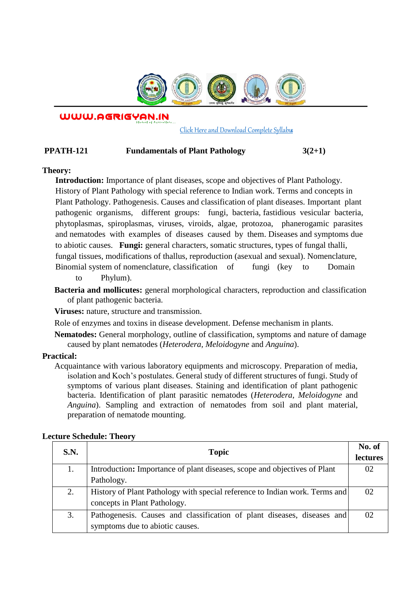

WWW.AGRIGYAN.IN

[Click Here and Download Complete Syllabus](http://agrigyan.in/)

# **PPATH-121 Fundamentals of Plant Pathology 3(2+1)**

## **Theory:**

 $\overline{a}$ 

**Introduction:** Importance of plant diseases, scope and objectives of Plant Pathology. History of Plant Pathology with special reference to Indian work. Terms and concepts in Plant Pathology. Pathogenesis. Causes and classification of plant diseases. Important plant pathogenic organisms, different groups: fungi, bacteria, fastidious vesicular bacteria, phytoplasmas, spiroplasmas, viruses, viroids, algae, protozoa, phanerogamic parasites and nematodes with examples of diseases caused by them. Diseases and symptoms due to abiotic causes. **Fungi:** general characters, somatic structures, types of fungal thalli, fungal tissues, modifications of thallus, reproduction (asexual and sexual). Nomenclature, Binomial system of nomenclature, classification of fungi (key to Domain

to Phylum).

**Bacteria and mollicutes:** general morphological characters, reproduction and classification of plant pathogenic bacteria.

**Viruses:** nature, structure and transmission.

Role of enzymes and toxins in disease development. Defense mechanism in plants.

**Nematodes:** General morphology, outline of classification, symptoms and nature of damage caused by plant nematodes (*Heterodera, Meloidogyne* and *Anguina*).

## **Practical:**

Acquaintance with various laboratory equipments and microscopy. Preparation of media, isolation and Koch's postulates. General study of different structures of fungi. Study of symptoms of various plant diseases. Staining and identification of plant pathogenic bacteria. Identification of plant parasitic nematodes (*Heterodera, Meloidogyne* and *Anguina*). Sampling and extraction of nematodes from soil and plant material, preparation of nematode mounting.

| S.N. | <b>Topic</b>                                                                | No. of          |
|------|-----------------------------------------------------------------------------|-----------------|
|      |                                                                             | <b>lectures</b> |
| 1.   | Introduction: Importance of plant diseases, scope and objectives of Plant   | 02              |
|      | Pathology.                                                                  |                 |
| 2.   | History of Plant Pathology with special reference to Indian work. Terms and | $\Omega$        |
|      | concepts in Plant Pathology.                                                |                 |
| 3.   | Pathogenesis. Causes and classification of plant diseases, diseases and     | 02              |
|      | symptoms due to abiotic causes.                                             |                 |

## **Lecture Schedule: Theory**